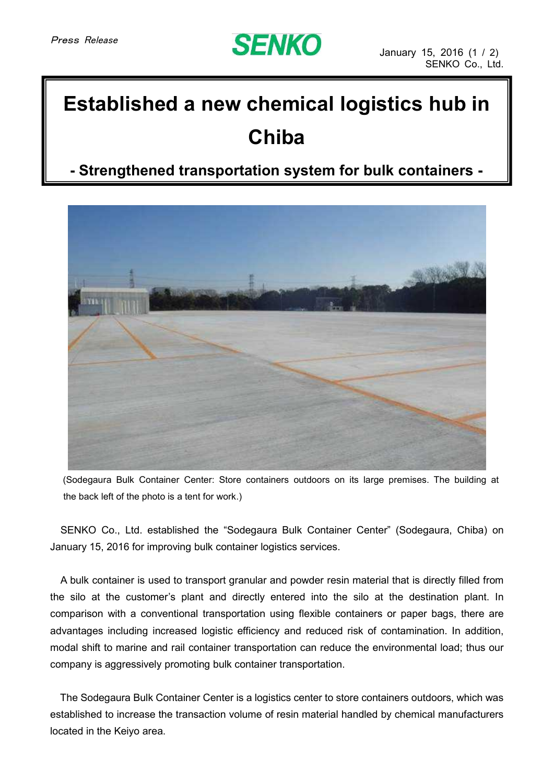## **SENKO**

## **Established a new chemical logistics hub in Chiba**

**- Strengthened transportation system for bulk containers -**



(Sodegaura Bulk Container Center: Store containers outdoors on its large premises. The building at the back left of the photo is a tent for work.)

SENKO Co., Ltd. established the "Sodegaura Bulk Container Center" (Sodegaura, Chiba) on January 15, 2016 for improving bulk container logistics services.

A bulk container is used to transport granular and powder resin material that is directly filled from the silo at the customer's plant and directly entered into the silo at the destination plant. In comparison with a conventional transportation using flexible containers or paper bags, there are advantages including increased logistic efficiency and reduced risk of contamination. In addition, modal shift to marine and rail container transportation can reduce the environmental load; thus our company is aggressively promoting bulk container transportation.

The Sodegaura Bulk Container Center is a logistics center to store containers outdoors, which was established to increase the transaction volume of resin material handled by chemical manufacturers located in the Keiyo area.